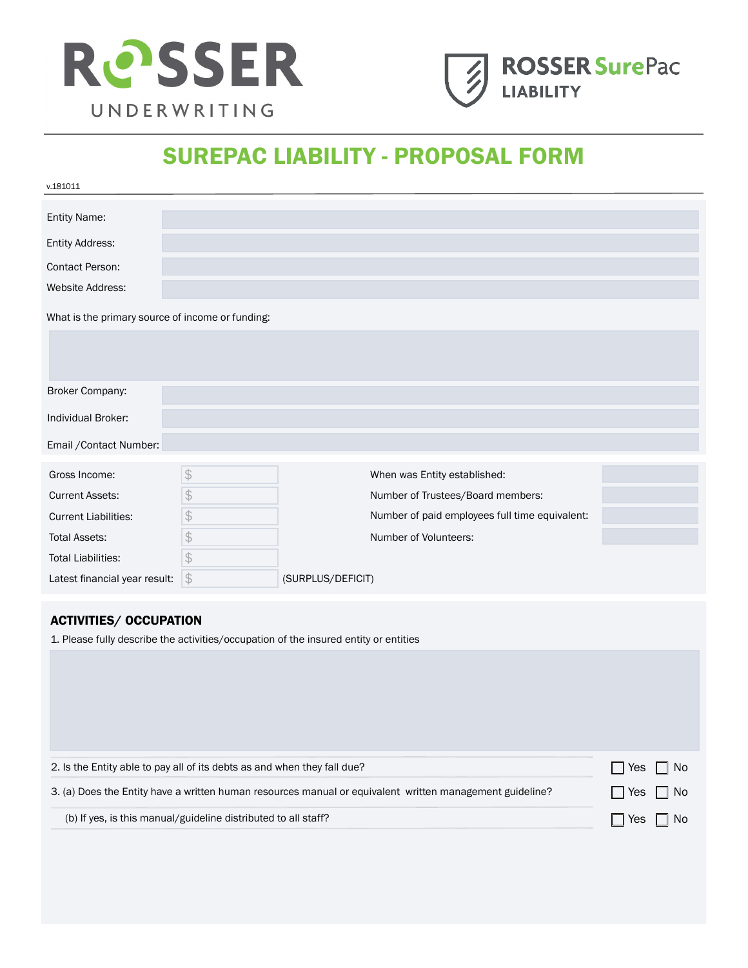



# SUREPAC LIABILITY - PROPOSAL FORM

| v.181011                                                                                                 |               |                                                                                      |            |
|----------------------------------------------------------------------------------------------------------|---------------|--------------------------------------------------------------------------------------|------------|
| Entity Name:                                                                                             |               |                                                                                      |            |
| Entity Address:                                                                                          |               |                                                                                      |            |
| Contact Person:                                                                                          |               |                                                                                      |            |
| Website Address:                                                                                         |               |                                                                                      |            |
| What is the primary source of income or funding:                                                         |               |                                                                                      |            |
|                                                                                                          |               |                                                                                      |            |
|                                                                                                          |               |                                                                                      |            |
| Broker Company:                                                                                          |               |                                                                                      |            |
| Individual Broker:                                                                                       |               |                                                                                      |            |
| Email / Contact Number:                                                                                  |               |                                                                                      |            |
| Gross Income:                                                                                            | $\frac{1}{2}$ | When was Entity established:                                                         |            |
| <b>Current Assets:</b>                                                                                   | $\frac{1}{2}$ | Number of Trustees/Board members:                                                    |            |
| <b>Current Liabilities:</b>                                                                              | \$            | Number of paid employees full time equivalent:                                       |            |
| <b>Total Assets:</b>                                                                                     | $\frac{1}{2}$ | Number of Volunteers:                                                                |            |
| <b>Total Liabilities:</b>                                                                                | $\frac{1}{2}$ |                                                                                      |            |
| Latest financial year result:                                                                            | $\frac{1}{2}$ | (SURPLUS/DEFICIT)                                                                    |            |
|                                                                                                          |               |                                                                                      |            |
| <b>ACTIVITIES/ OCCUPATION</b>                                                                            |               | 1. Please fully describe the activities/occupation of the insured entity or entities |            |
|                                                                                                          |               |                                                                                      |            |
|                                                                                                          |               |                                                                                      |            |
|                                                                                                          |               |                                                                                      |            |
|                                                                                                          |               |                                                                                      |            |
|                                                                                                          |               |                                                                                      |            |
| 2. Is the Entity able to pay all of its debts as and when they fall due?                                 |               |                                                                                      | No<br>Yes  |
| 3. (a) Does the Entity have a written human resources manual or equivalent written management guideline? |               |                                                                                      | No.<br>Yes |
| (b) If yes, is this manual/guideline distributed to all staff?                                           |               |                                                                                      | Yes<br>No  |
|                                                                                                          |               |                                                                                      |            |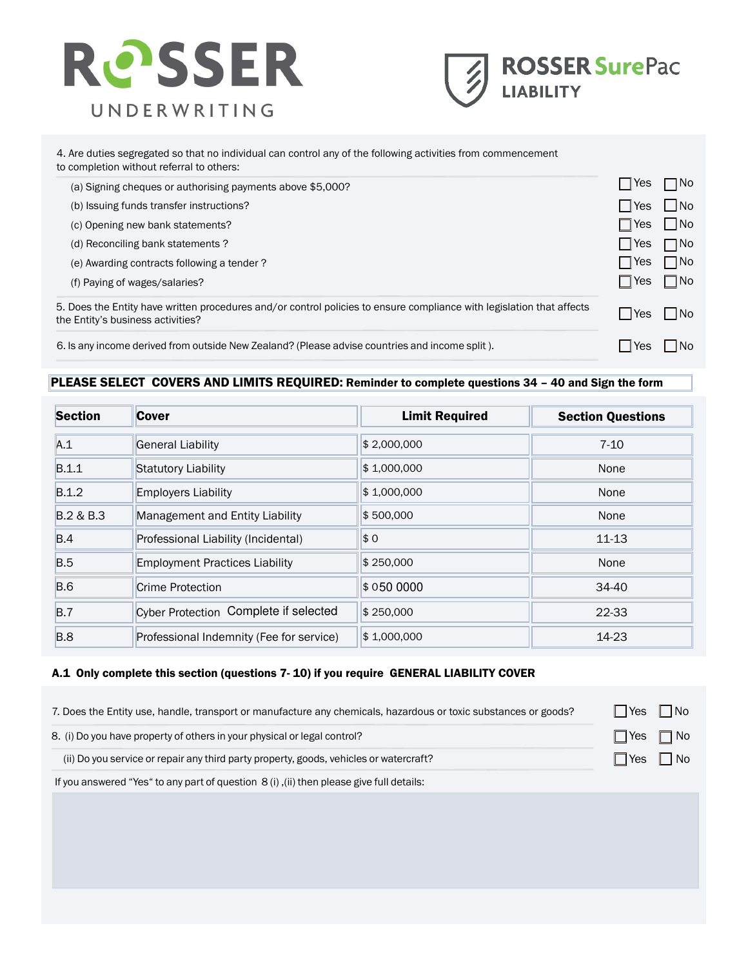



#### 4. Are duties segregated so that no individual can control any of the following activities from commencement to completion without referral to others:

| (a) Signing cheques or authorising payments above \$5,000?                                                                                                 | Yes           | $\square$ No               |
|------------------------------------------------------------------------------------------------------------------------------------------------------------|---------------|----------------------------|
| (b) Issuing funds transfer instructions?                                                                                                                   | Yes           | $\parallel$ $\parallel$ No |
| (c) Opening new bank statements?                                                                                                                           | $\exists$ Yes | $\parallel$ $\parallel$ No |
| (d) Reconciling bank statements?                                                                                                                           | Yes           | $\Box$ No                  |
| (e) Awarding contracts following a tender?                                                                                                                 | $\exists$ Yes | $\Box$ No                  |
| (f) Paying of wages/salaries?                                                                                                                              | ∣Yes          | $\Box$ No                  |
| 5. Does the Entity have written procedures and/or control policies to ensure compliance with legislation that affects<br>the Entity's business activities? | <b>PYes</b>   | $\parallel$ $\parallel$ No |
| 6. Is any income derived from outside New Zealand? (Please advise countries and income split).                                                             | Yes           | ∣No                        |

## PLEASE SELECT COVERS AND LIMITS REQUIRED: Reminder to complete questions 34 – 40 and Sign the form

| <b>Section</b> | <b>Cover</b>                             | <b>Limit Required</b> | <b>Section Questions</b> |
|----------------|------------------------------------------|-----------------------|--------------------------|
| A.1            | General Liability                        | \$2,000,000           | $7 - 10$                 |
| B.1.1          | Statutory Liability                      | \$1,000,000           | None                     |
| B.1.2          | <b>Employers Liability</b>               | \$1,000,000           | None                     |
| B.2 & B.3      | Management and Entity Liability          | \$500,000             | None                     |
| B.4            | Professional Liability (Incidental)      | \$0                   | $11 - 13$                |
| B.5            | <b>Employment Practices Liability</b>    | \$250,000             | None                     |
| <b>B.6</b>     | Crime Protection                         | \$050 0000            | 34-40                    |
| B.7            | Cyber Protection Complete if selected    | \$250,000             | 22-33                    |
| <b>B.8</b>     | Professional Indemnity (Fee for service) | \$1,000,000           | 14-23                    |

### A.1 Only complete this section (questions 7- 10) if you require GENERAL LIABILITY COVER

| 7. Does the Entity use, handle, transport or manufacture any chemicals, hazardous or toxic substances or goods? |                      | ∣Yes ∣ INo |
|-----------------------------------------------------------------------------------------------------------------|----------------------|------------|
| 8. (i) Do you have property of others in your physical or legal control?                                        | $\Box$ Yes $\Box$ No |            |
| (ii) Do you service or repair any third party property, goods, vehicles or watercraft?                          |                      | ∣Yes ∣∣No  |
| If you answered "Yes" to any part of question 8 (i), (ii) then please give full details:                        |                      |            |
|                                                                                                                 |                      |            |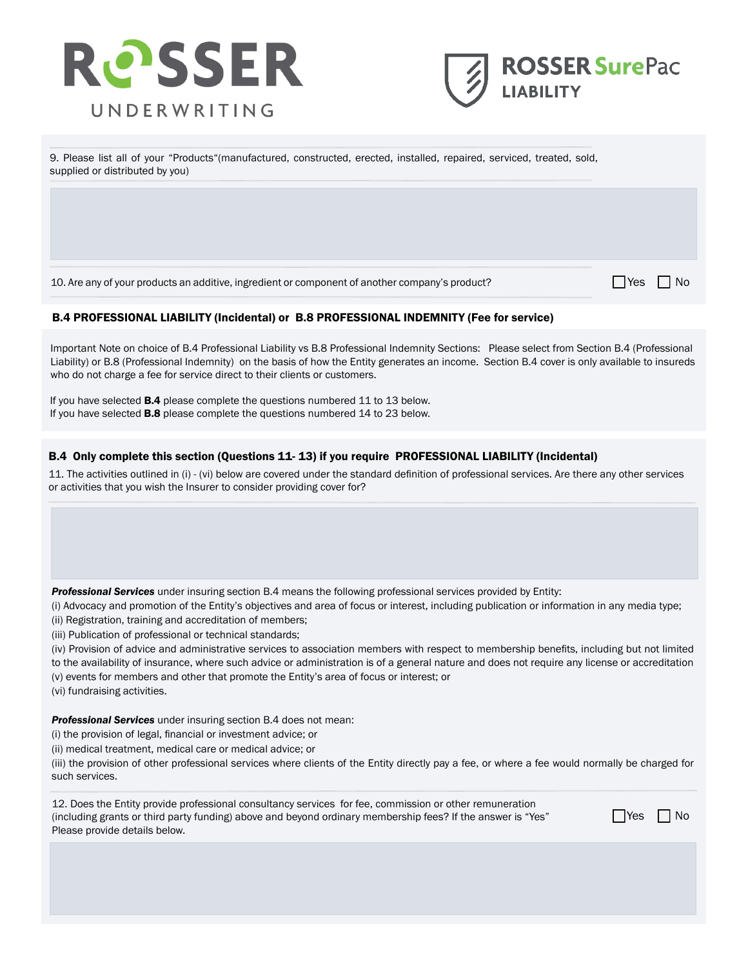



9. Please list all of your "Products"(manufactured, constructed, erected, installed, repaired, serviced, treated, sold, supplied or distributed by you)

10. Are any of your products an additive, ingredient or component of another company's product?

 $\Box$  Yes  $\Box$  No

#### B.4 PROFESSIONAL LIABILITY (Incidental) or B.8 PROFESSIONAL INDEMNITY (Fee for service)

Important Note on choice of B.4 Professional Liability vs B.8 Professional Indemnity Sections: Please select from Section B.4 (Professional Liability) or B.8 (Professional Indemnity) on the basis of how the Entity generates an income. Section B.4 cover is only available to insureds who do not charge a fee for service direct to their clients or customers.

If you have selected B.4 please complete the questions numbered 11 to 13 below. If you have selected **B.8** please complete the questions numbered 14 to 23 below.

#### B.4 Only complete this section (Questions 11- 13) if you require PROFESSIONAL LIABILITY (Incidental)

11. The activities outlined in (i) - (vi) below are covered under the standard definition of professional services. Are there any other services or activities that you wish the Insurer to consider providing cover for?

*Professional Services* under insuring section B.4 means the following professional services provided by Entity:

(i) Advocacy and promotion of the Entity's objectives and area of focus or interest, including publication or information in any media type;

(ii) Registration, training and accreditation of members;

(iii) Publication of professional or technical standards;

(iv) Provision of advice and administrative services to association members with respect to membership benefits, including but not limited to the availability of insurance, where such advice or administration is of a general nature and does not require any license or accreditation (v) events for members and other that promote the Entity's area of focus or interest; or

(vi) fundraising activities.

*Professional Services* under insuring section B.4 does not mean:

(i) the provision of legal, financial or investment advice; or

(ii) medical treatment, medical care or medical advice; or

(iii) the provision of other professional services where clients of the Entity directly pay a fee, or where a fee would normally be charged for such services.

12. Does the Entity provide professional consultancy services for fee, commission or other remuneration (including grants or third party funding) above and beyond ordinary membership fees? If the answer is "Yes" Please provide details below.

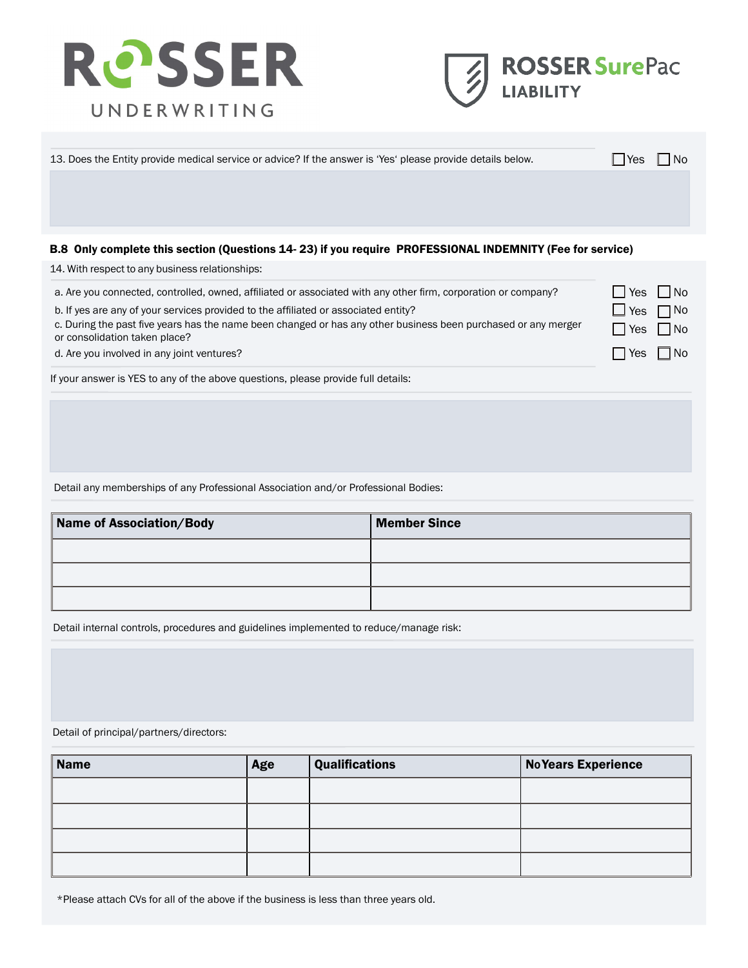



Yes No Yes □No Yes No Yes No

| 13. Does the Entity provide medical service or advice? If the answer is 'Yes' please provide details below. | <b>Yes</b> | ∣No |
|-------------------------------------------------------------------------------------------------------------|------------|-----|
|                                                                                                             |            |     |
|                                                                                                             |            |     |
|                                                                                                             |            |     |
| B.8 Only complete this section (Questions 14-23) if you require PROFESSIONAL INDEMNITY (Fee for service)    |            |     |

14. With respect to any business relationships:

a. Are you connected, controlled, owned, affiliated or associated with any other firm, corporation or company?

b. If yes are any of your services provided to the affiliated or associated entity?

c. During the past five years has the name been changed or has any other business been purchased or any merger or consolidation taken place?

d. Are you involved in any joint ventures?

If your answer is YES to any of the above questions, please provide full details:

Detail any memberships of any Professional Association and/or Professional Bodies:

| Name of Association/Body | <b>Member Since</b> |
|--------------------------|---------------------|
|                          |                     |
|                          |                     |
|                          |                     |

Detail internal controls, procedures and guidelines implemented to reduce/manage risk:

#### Detail of principal/partners/directors:

| <b>Name</b> | Age | <b>Qualifications</b> | <b>No Years Experience</b> |
|-------------|-----|-----------------------|----------------------------|
|             |     |                       |                            |
|             |     |                       |                            |
|             |     |                       |                            |
|             |     |                       |                            |

\*Please attach CVs for all of the above if the business is less than three years old.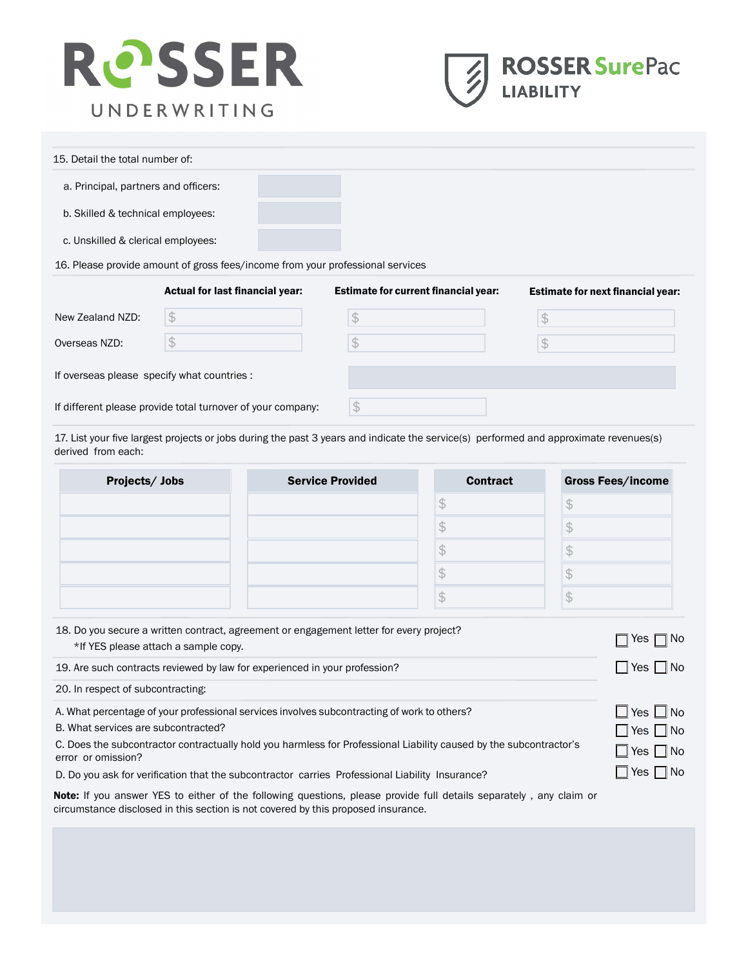



| 15. Detail the total number of:                                                |                                             |                                             |                                          |  |  |
|--------------------------------------------------------------------------------|---------------------------------------------|---------------------------------------------|------------------------------------------|--|--|
| a. Principal, partners and officers:                                           |                                             |                                             |                                          |  |  |
| b. Skilled & technical employees:                                              |                                             |                                             |                                          |  |  |
| c. Unskilled & clerical employees:                                             |                                             |                                             |                                          |  |  |
| 16. Please provide amount of gross fees/income from your professional services |                                             |                                             |                                          |  |  |
|                                                                                | Actual for last financial year:             | <b>Estimate for current financial year:</b> | <b>Estimate for next financial year:</b> |  |  |
| New Zealand NZD:                                                               | $\mathcal{L}$                               | \$                                          | S.                                       |  |  |
| Overseas NZD:                                                                  | \$                                          | S                                           |                                          |  |  |
|                                                                                | If overseas please specify what countries : |                                             |                                          |  |  |

If different please provide total turnover of your company:

17. List your five largest projects or jobs during the past 3 years and indicate the service(s) performed and approximate revenues(s)

\$

derived from each:

| Projects/Jobs | <b>Service Provided</b> | <b>Contract</b> | <b>Gross Fees/income</b> |
|---------------|-------------------------|-----------------|--------------------------|
|               |                         |                 |                          |
|               |                         |                 |                          |
|               |                         |                 |                          |
|               |                         |                 |                          |
|               |                         |                 |                          |

| 18. Do you secure a written contract, agreement or engagement letter for every project?<br>*If YES please attach a sample copy.          | $\Box$ Yes $\Box$ No |
|------------------------------------------------------------------------------------------------------------------------------------------|----------------------|
| 19. Are such contracts reviewed by law for experienced in your profession?                                                               | $\Box$ Yes $\Box$ No |
| 20. In respect of subcontracting:                                                                                                        |                      |
| A. What percentage of your professional services involves subcontracting of work to others?                                              | $\Box$ Yes $\Box$ No |
| B. What services are subcontracted?                                                                                                      | $\Box$ Yes $\Box$ No |
| C. Does the subcontractor contractually hold you harmless for Professional Liability caused by the subcontractor's<br>error or omission? | $\Box$ Yes $\Box$ No |
| D. Do you ask for verification that the subcontractor carries Professional Liability Insurance?                                          | $\Box$ Yes $\Box$ No |

D. Do you ask for verification that the subcontractor carries Professional Liability Insurance?

Note: If you answer YES to either of the following questions, please provide full details separately, any claim or circumstance disclosed in this section is not covered by this proposed insurance.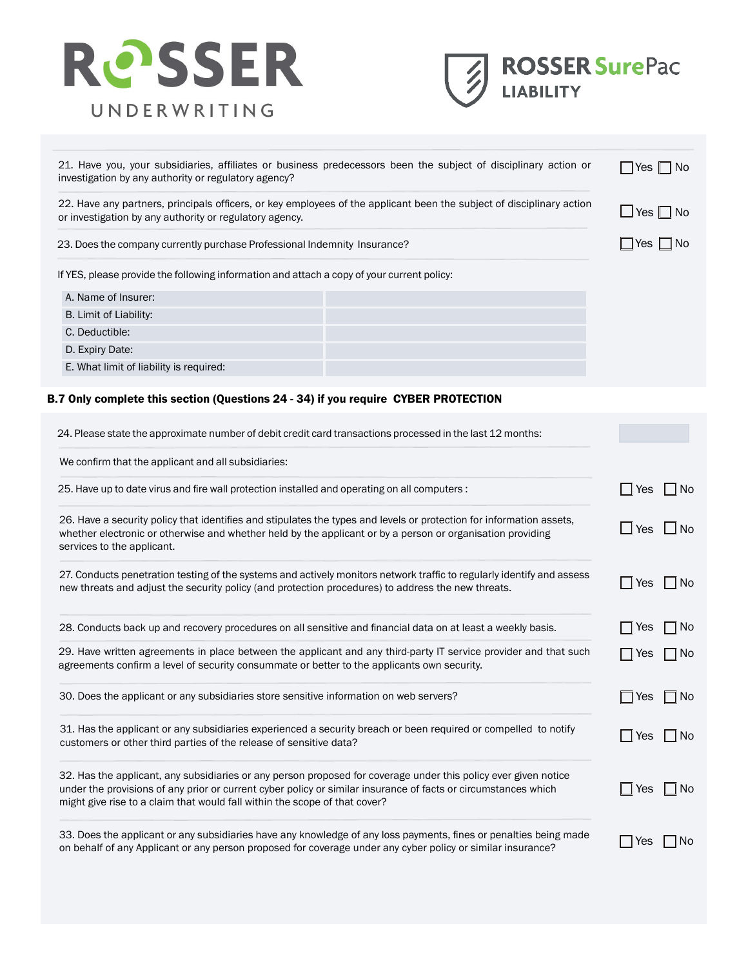



| investigation by any authority or regulatory agency?                                       | 21. Have you, your subsidiaries, affiliates or business predecessors been the subject of disciplinary action or       | Yes   ∣No  |
|--------------------------------------------------------------------------------------------|-----------------------------------------------------------------------------------------------------------------------|------------|
| or investigation by any authority or regulatory agency.                                    | 22. Have any partners, principals officers, or key employees of the applicant been the subject of disciplinary action | ⊿ Yes ∐ No |
| 23. Does the company currently purchase Professional Indemnity Insurance?                  | Yes     No                                                                                                            |            |
| If YES, please provide the following information and attach a copy of your current policy: |                                                                                                                       |            |
| A. Name of Insurer:                                                                        |                                                                                                                       |            |
| B. Limit of Liability:                                                                     |                                                                                                                       |            |
| C. Deductible:                                                                             |                                                                                                                       |            |
| D. Expiry Date:                                                                            |                                                                                                                       |            |
| E. What limit of liability is required:                                                    |                                                                                                                       |            |

# B.7 Only complete this section (Questions 24 - 34) if you require CYBER PROTECTION

| 24. Please state the approximate number of debit credit card transactions processed in the last 12 months:                                                                                                                                                                                                      |                              |
|-----------------------------------------------------------------------------------------------------------------------------------------------------------------------------------------------------------------------------------------------------------------------------------------------------------------|------------------------------|
| We confirm that the applicant and all subsidiaries:                                                                                                                                                                                                                                                             |                              |
| 25. Have up to date virus and fire wall protection installed and operating on all computers :                                                                                                                                                                                                                   | INo<br>Yes                   |
| 26. Have a security policy that identifies and stipulates the types and levels or protection for information assets,<br>whether electronic or otherwise and whether held by the applicant or by a person or organisation providing<br>services to the applicant.                                                | Yes<br>l No                  |
| 27. Conducts penetration testing of the systems and actively monitors network traffic to regularly identify and assess<br>new threats and adjust the security policy (and protection procedures) to address the new threats.                                                                                    | No.<br>Yes                   |
| 28. Conducts back up and recovery procedures on all sensitive and financial data on at least a weekly basis.                                                                                                                                                                                                    | No<br>Yes                    |
| 29. Have written agreements in place between the applicant and any third-party IT service provider and that such<br>agreements confirm a level of security consummate or better to the applicants own security.                                                                                                 | No<br>Yes                    |
| 30. Does the applicant or any subsidiaries store sensitive information on web servers?                                                                                                                                                                                                                          | No<br>Yes                    |
| 31. Has the applicant or any subsidiaries experienced a security breach or been required or compelled to notify<br>customers or other third parties of the release of sensitive data?                                                                                                                           | N <sub>o</sub><br><b>Yes</b> |
| 32. Has the applicant, any subsidiaries or any person proposed for coverage under this policy ever given notice<br>under the provisions of any prior or current cyber policy or similar insurance of facts or circumstances which<br>might give rise to a claim that would fall within the scope of that cover? | <b>No</b><br>Yes             |
| 33. Does the applicant or any subsidiaries have any knowledge of any loss payments, fines or penalties being made<br>on behalf of any Applicant or any person proposed for coverage under any cyber policy or similar insurance?                                                                                | Yes<br>No                    |